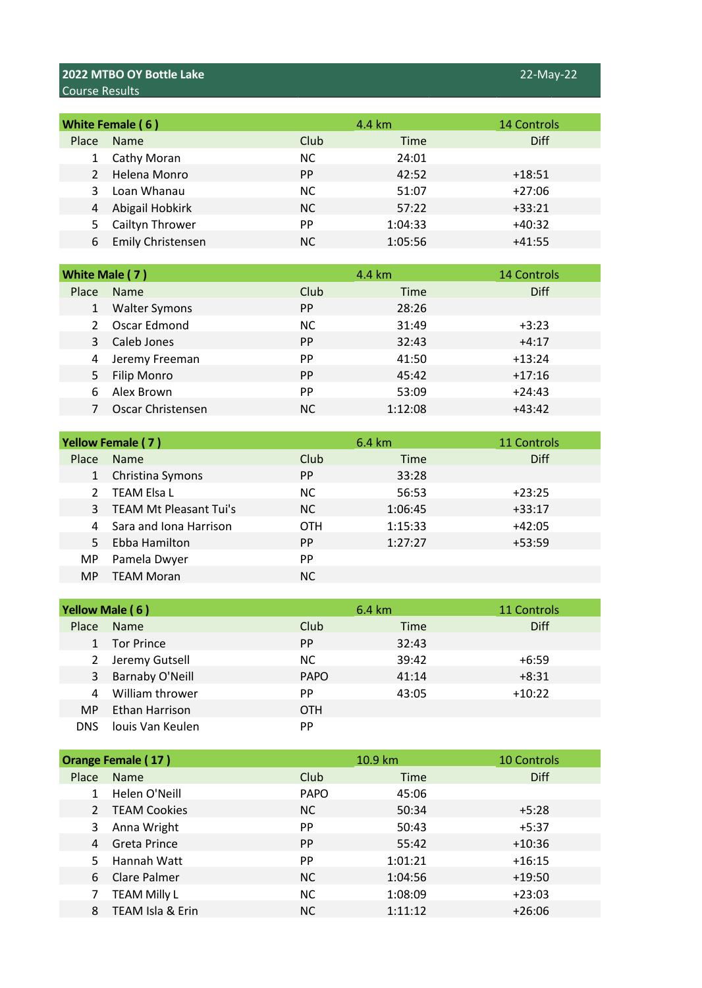## **2022 MTBO OY Bottle Lake** 22-May-22 Course Results

| White Female (6) |                          | 4.4 km    | <b>14 Controls</b> |             |
|------------------|--------------------------|-----------|--------------------|-------------|
| Place            | <b>Name</b>              | Club      | Time               | <b>Diff</b> |
|                  | Cathy Moran              | <b>NC</b> | 24:01              |             |
|                  | Helena Monro             | <b>PP</b> | 42:52              | $+18:51$    |
|                  | Loan Whanau              | NC.       | 51:07              | $+27:06$    |
|                  | Abigail Hobkirk          | <b>NC</b> | 57:22              | $+33:21$    |
| 5.               | Cailtyn Thrower          | PP        | 1:04:33            | $+40:32$    |
| 6                | <b>Emily Christensen</b> | NC.       | 1:05:56            | $+41:55$    |

|       | White Male (7)       |           | 4.4 km      | 14 Controls |
|-------|----------------------|-----------|-------------|-------------|
| Place | <b>Name</b>          | Club      | <b>Time</b> | Diff        |
|       | <b>Walter Symons</b> | <b>PP</b> | 28:26       |             |
|       | Oscar Edmond         | ΝC        | 31:49       | $+3:23$     |
| 3     | Caleb Jones          | <b>PP</b> | 32:43       | $+4:17$     |
| 4     | Jeremy Freeman       | <b>PP</b> | 41:50       | $+13:24$    |
| 5     | <b>Filip Monro</b>   | <b>PP</b> | 45:42       | $+17:16$    |
|       | Alex Brown           | <b>PP</b> | 53:09       | $+24:43$    |
|       | Oscar Christensen    | NC.       | 1:12:08     | $+43:42$    |

|               | <b>Yellow Female (7)</b>      |            | 6.4 km  | 11 Controls |
|---------------|-------------------------------|------------|---------|-------------|
| Place         | <b>Name</b>                   | Club       | Time    | Diff        |
|               | Christina Symons              | <b>PP</b>  | 33:28   |             |
| $\mathcal{L}$ | <b>TEAM Elsa L</b>            | <b>NC</b>  | 56:53   | $+23:25$    |
| 3             | <b>TEAM Mt Pleasant Tui's</b> | NC.        | 1:06:45 | $+33:17$    |
|               | Sara and Iona Harrison        | <b>OTH</b> | 1:15:33 | $+42:05$    |
| 5.            | Ebba Hamilton                 | <b>PP</b>  | 1:27:27 | $+53:59$    |
| MP.           | Pamela Dwyer                  | <b>PP</b>  |         |             |
| <b>MP</b>     | <b>TEAM Moran</b>             | ΝC         |         |             |

| Yellow Male (6) |                        | 6.4 km      | 11 Controls |             |
|-----------------|------------------------|-------------|-------------|-------------|
| Place           | Name                   | Club        | Time        | <b>Diff</b> |
|                 | <b>Tor Prince</b>      | <b>PP</b>   | 32:43       |             |
|                 | 2 Jeremy Gutsell       | <b>NC</b>   | 39:42       | $+6:59$     |
| 3               | <b>Barnaby O'Neill</b> | <b>PAPO</b> | 41:14       | $+8:31$     |
| 4               | William thrower        | <b>PP</b>   | 43:05       | $+10:22$    |
| MP.             | Ethan Harrison         | <b>OTH</b>  |             |             |
| DNS.            | louis Van Keulen       | <b>PP</b>   |             |             |

|              | Orange Female (17)  |             | 10.9 km | <b>10 Controls</b> |
|--------------|---------------------|-------------|---------|--------------------|
| <b>Place</b> | <b>Name</b>         | Club        | Time    | <b>Diff</b>        |
|              | Helen O'Neill       | <b>PAPO</b> | 45:06   |                    |
|              | <b>TEAM Cookies</b> | <b>NC</b>   | 50:34   | $+5:28$            |
| 3            | Anna Wright         | <b>PP</b>   | 50:43   | $+5:37$            |
| 4            | <b>Greta Prince</b> | <b>PP</b>   | 55:42   | $+10:36$           |
|              | Hannah Watt         | <b>PP</b>   | 1:01:21 | $+16:15$           |
| 6.           | Clare Palmer        | <b>NC</b>   | 1:04:56 | $+19:50$           |
|              | <b>TEAM Milly L</b> | <b>NC</b>   | 1:08:09 | $+23:03$           |
| 8            | TEAM Isla & Erin    | NC.         | 1:11:12 | $+26:06$           |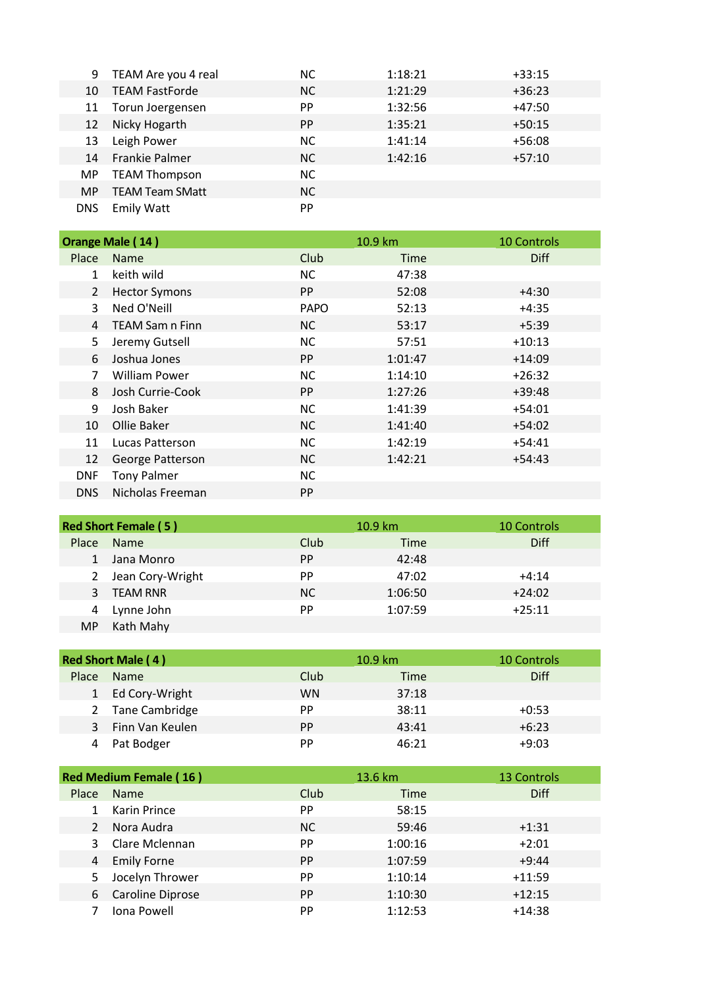|            | 9 TEAM Are you 4 real  | NC.       | 1:18:21 | $+33:15$ |
|------------|------------------------|-----------|---------|----------|
| 10         | <b>TEAM FastForde</b>  | NC.       | 1:21:29 | $+36:23$ |
|            | 11 Torun Joergensen    | <b>PP</b> | 1:32:56 | $+47:50$ |
| 12         | Nicky Hogarth          | <b>PP</b> | 1:35:21 | $+50:15$ |
| 13         | Leigh Power            | <b>NC</b> | 1:41:14 | $+56:08$ |
| 14         | <b>Frankie Palmer</b>  | <b>NC</b> | 1:42:16 | $+57:10$ |
| MP.        | <b>TEAM Thompson</b>   | <b>NC</b> |         |          |
| MP.        | <b>TEAM Team SMatt</b> | NC.       |         |          |
| <b>DNS</b> | <b>Emily Watt</b>      | <b>PP</b> |         |          |

|                | Orange Male (14)       |             | 10.9 km | <b>10 Controls</b> |
|----------------|------------------------|-------------|---------|--------------------|
| Place          | Name                   | Club        | Time    | <b>Diff</b>        |
| $\mathbf{1}$   | keith wild             | <b>NC</b>   | 47:38   |                    |
| $\overline{2}$ | <b>Hector Symons</b>   | <b>PP</b>   | 52:08   | $+4:30$            |
| 3              | Ned O'Neill            | <b>PAPO</b> | 52:13   | $+4:35$            |
| 4              | <b>TEAM Sam n Finn</b> | <b>NC</b>   | 53:17   | $+5:39$            |
| 5              | Jeremy Gutsell         | <b>NC</b>   | 57:51   | $+10:13$           |
| 6              | Joshua Jones           | <b>PP</b>   | 1:01:47 | $+14:09$           |
| 7              | <b>William Power</b>   | <b>NC</b>   | 1:14:10 | $+26:32$           |
| 8              | Josh Currie-Cook       | <b>PP</b>   | 1:27:26 | $+39:48$           |
| 9              | Josh Baker             | <b>NC</b>   | 1:41:39 | $+54:01$           |
| 10             | Ollie Baker            | <b>NC</b>   | 1:41:40 | $+54:02$           |
| 11             | Lucas Patterson        | <b>NC</b>   | 1:42:19 | $+54:41$           |
| 12             | George Patterson       | <b>NC</b>   | 1:42:21 | $+54:43$           |
| <b>DNF</b>     | <b>Tony Palmer</b>     | <b>NC</b>   |         |                    |
| <b>DNS</b>     | Nicholas Freeman       | <b>PP</b>   |         |                    |

| <b>Red Short Female (5)</b> |                  |           | $10.9 \mathrm{km}$ | <b>10 Controls</b> |
|-----------------------------|------------------|-----------|--------------------|--------------------|
| Place                       | <b>Name</b>      | Club      | Time               | Diff               |
|                             | Jana Monro       | <b>PP</b> | 42:48              |                    |
| 2                           | Jean Cory-Wright | <b>PP</b> | 47:02              | $+4:14$            |
| 3                           | <b>TEAM RNR</b>  | <b>NC</b> | 1:06:50            | $+24:02$           |
| 4                           | Lynne John       | PP        | 1:07:59            | $+25:11$           |
| MP.                         | Kath Mahy        |           |                    |                    |

| <b>Red Short Male (4)</b> |                  |           | $10.9 \mathrm{km}$ | <b>10 Controls</b> |
|---------------------------|------------------|-----------|--------------------|--------------------|
| <b>Place</b>              | <b>Name</b>      | Club      | Time               | Diff               |
|                           | 1 Ed Cory-Wright | <b>WN</b> | 37:18              |                    |
|                           | 2 Tane Cambridge | PP        | 38:11              | $+0:53$            |
|                           | Finn Van Keulen  | <b>PP</b> | 43:41              | $+6:23$            |
|                           | Pat Bodger       | PP        | 46:21              | $+9:03$            |

| <b>Red Medium Female (16)</b> |                    |           | $13.6 \text{ km}$ | 13 Controls |
|-------------------------------|--------------------|-----------|-------------------|-------------|
| Place                         | Name               | Club      | Time              | <b>Diff</b> |
|                               | Karin Prince       | <b>PP</b> | 58:15             |             |
| $\mathcal{L}$                 | Nora Audra         | <b>NC</b> | 59:46             | $+1:31$     |
| 3                             | Clare Mclennan     | <b>PP</b> | 1:00:16           | $+2:01$     |
| 4                             | <b>Emily Forne</b> | <b>PP</b> | 1:07:59           | $+9:44$     |
|                               | Jocelyn Thrower    | <b>PP</b> | 1:10:14           | $+11:59$    |
| 6                             | Caroline Diprose   | <b>PP</b> | 1:10:30           | $+12:15$    |
|                               | Iona Powell        | PP        | 1:12:53           | $+14:38$    |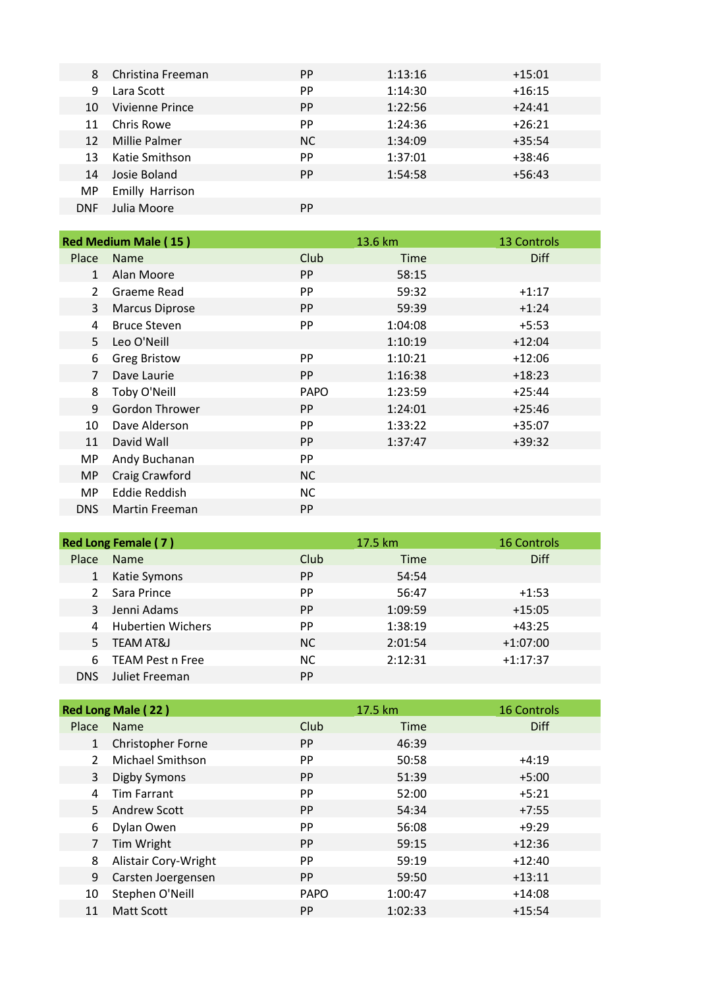| 8          | Christina Freeman | <b>PP</b> | 1:13:16 | $+15:01$ |
|------------|-------------------|-----------|---------|----------|
| 9          | Lara Scott        | <b>PP</b> | 1:14:30 | $+16:15$ |
| 10         | Vivienne Prince   | <b>PP</b> | 1:22:56 | $+24:41$ |
| 11         | Chris Rowe        | <b>PP</b> | 1:24:36 | $+26:21$ |
| 12         | Millie Palmer     | NC.       | 1:34:09 | $+35:54$ |
| 13         | Katie Smithson    | <b>PP</b> | 1:37:01 | $+38:46$ |
| 14         | Josie Boland      | <b>PP</b> | 1:54:58 | $+56:43$ |
| MP.        | Emilly Harrison   |           |         |          |
| <b>DNF</b> | Julia Moore       | PP.       |         |          |

|                | <b>Red Medium Male (15)</b> |             | 13.6 km | 13 Controls |
|----------------|-----------------------------|-------------|---------|-------------|
| Place          | <b>Name</b>                 | Club        | Time    | <b>Diff</b> |
| $\mathbf{1}$   | Alan Moore                  | <b>PP</b>   | 58:15   |             |
| $\mathcal{P}$  | Graeme Read                 | PP          | 59:32   | $+1:17$     |
| 3              | <b>Marcus Diprose</b>       | <b>PP</b>   | 59:39   | $+1:24$     |
| 4              | <b>Bruce Steven</b>         | PP          | 1:04:08 | $+5:53$     |
| 5              | Leo O'Neill                 |             | 1:10:19 | $+12:04$    |
| 6              | <b>Greg Bristow</b>         | PP          | 1:10:21 | $+12:06$    |
| $\overline{7}$ | Dave Laurie                 | <b>PP</b>   | 1:16:38 | $+18:23$    |
| 8              | Toby O'Neill                | <b>PAPO</b> | 1:23:59 | $+25:44$    |
| 9              | Gordon Thrower              | <b>PP</b>   | 1:24:01 | $+25:46$    |
| 10             | Dave Alderson               | PP          | 1:33:22 | $+35:07$    |
| 11             | David Wall                  | PP          | 1:37:47 | $+39:32$    |
| MP             | Andy Buchanan               | PP          |         |             |
| MP.            | Craig Crawford              | <b>NC</b>   |         |             |
| MP             | Eddie Reddish               | <b>NC</b>   |         |             |
| <b>DNS</b>     | <b>Martin Freeman</b>       | <b>PP</b>   |         |             |

|            | Red Long Female (7)      |           | 17.5 km | <b>16 Controls</b> |
|------------|--------------------------|-----------|---------|--------------------|
| Place      | <b>Name</b>              | Club      | Time    | <b>Diff</b>        |
|            | Katie Symons             | PP.       | 54:54   |                    |
|            | Sara Prince              | PP.       | 56:47   | $+1:53$            |
|            | Jenni Adams              | <b>PP</b> | 1:09:59 | $+15:05$           |
| 4          | <b>Hubertien Wichers</b> | <b>PP</b> | 1:38:19 | $+43:25$           |
|            | <b>TEAM AT&amp;J</b>     | NC.       | 2:01:54 | $+1:07:00$         |
| 6          | <b>TEAM Pest n Free</b>  | <b>NC</b> | 2:12:31 | $+1:17:37$         |
| <b>DNS</b> | Juliet Freeman           | <b>PP</b> |         |                    |

|                     | <b>Red Long Male (22)</b> |             | 17.5 km | <b>16 Controls</b> |
|---------------------|---------------------------|-------------|---------|--------------------|
| Place               | Name                      | Club        | Time    | <b>Diff</b>        |
| $\mathbf{1}$        | Christopher Forne         | <b>PP</b>   | 46:39   |                    |
|                     | Michael Smithson          | <b>PP</b>   | 50:58   | $+4:19$            |
| 3                   | Digby Symons              | PP.         | 51:39   | $+5:00$            |
| 4                   | <b>Tim Farrant</b>        | <b>PP</b>   | 52:00   | $+5:21$            |
| 5.                  | <b>Andrew Scott</b>       | PP.         | 54:34   | $+7:55$            |
| 6<br>$\overline{7}$ | Dylan Owen                | PP.         | 56:08   | $+9:29$            |
|                     | Tim Wright                | PP.         | 59:15   | $+12:36$           |
| 8                   | Alistair Cory-Wright      | PP          | 59:19   | $+12:40$           |
| 9                   | Carsten Joergensen        | <b>PP</b>   | 59:50   | $+13:11$           |
| 10                  | Stephen O'Neill           | <b>PAPO</b> | 1:00:47 | $+14:08$           |
| 11                  | <b>Matt Scott</b>         | PP.         | 1:02:33 | $+15:54$           |